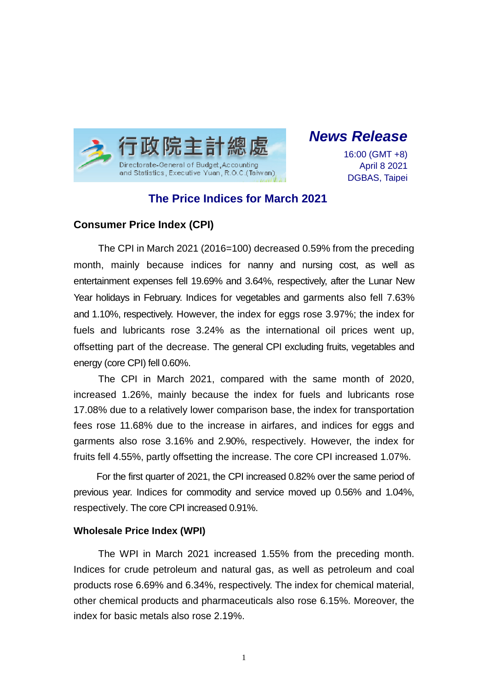

*News Release*

16:00 (GMT +8) April 8 2021 DGBAS, Taipei

# **The Price Indices for March 2021**

## **Consumer Price Index (CPI)**

The CPI in March 2021 (2016=100) decreased 0.59% from the preceding month, mainly because indices for nanny and nursing cost, as well as entertainment expenses fell 19.69% and 3.64%, respectively, after the Lunar New Year holidays in February. Indices for vegetables and garments also fell 7.63% and 1.10%, respectively. However, the index for eggs rose 3.97%; the index for fuels and lubricants rose 3.24% as the international oil prices went up, offsetting part of the decrease. The general CPI excluding fruits, vegetables and energy (core CPI) fell 0.60%.

The CPI in March 2021, compared with the same month of 2020, increased 1.26%, mainly because the index for fuels and lubricants rose 17.08% due to a relatively lower comparison base, the index for transportation fees rose 11.68% due to the increase in airfares, and indices for eggs and garments also rose 3.16% and 2.90%, respectively. However, the index for fruits fell 4.55%, partly offsetting the increase. The core CPI increased 1.07%.

For the first quarter of 2021, the CPI increased 0.82% over the same period of previous year. Indices for commodity and service moved up 0.56% and 1.04%, respectively. The core CPI increased 0.91%.

#### **Wholesale Price Index (WPI)**

The WPI in March 2021 increased 1.55% from the preceding month. Indices for crude petroleum and natural gas, as well as petroleum and coal products rose 6.69% and 6.34%, respectively. The index for chemical material, other chemical products and pharmaceuticals also rose 6.15%. Moreover, the index for basic metals also rose 2.19%.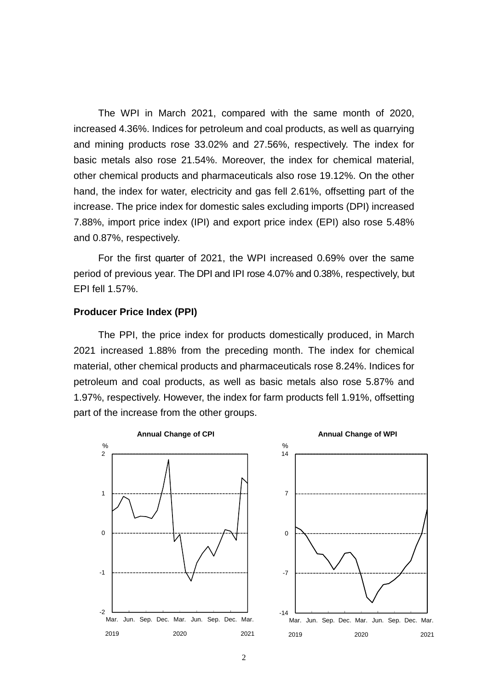The WPI in March 2021, compared with the same month of 2020, increased 4.36%. Indices for petroleum and coal products, as well as quarrying and mining products rose 33.02% and 27.56%, respectively. The index for basic metals also rose 21.54%. Moreover, the index for chemical material, other chemical products and pharmaceuticals also rose 19.12%. On the other hand, the index for water, electricity and gas fell 2.61%, offsetting part of the increase. The price index for domestic sales excluding imports (DPI) increased 7.88%, import price index (IPI) and export price index (EPI) also rose 5.48% and 0.87%, respectively.

For the first quarter of 2021, the WPI increased 0.69% over the same period of previous year. The DPI and IPI rose 4.07% and 0.38%, respectively, but EPI fell 1.57%.

#### **Producer Price Index (PPI)**

The PPI, the price index for products domestically produced, in March 2021 increased 1.88% from the preceding month. The index for chemical material, other chemical products and pharmaceuticals rose 8.24%. Indices for petroleum and coal products, as well as basic metals also rose 5.87% and 1.97%, respectively. However, the index for farm products fell 1.91%, offsetting part of the increase from the other groups.